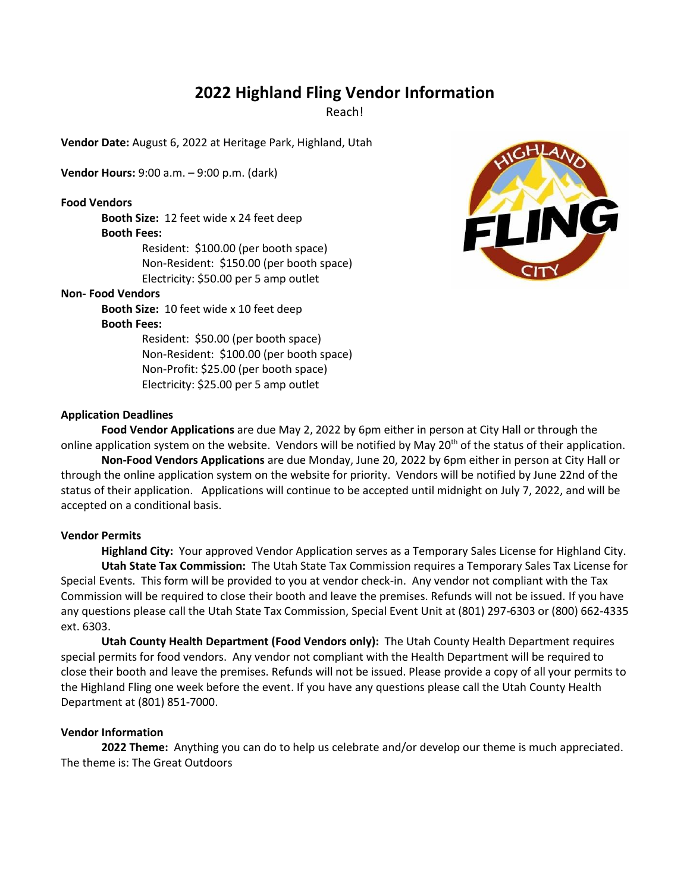# **2022 Highland Fling Vendor Information**

Reach!

**Vendor Date:** August 6, 2022 at Heritage Park, Highland, Utah

**Vendor Hours:** 9:00 a.m. – 9:00 p.m. (dark)

## **Food Vendors**

**Booth Size:** 12 feet wide x 24 feet deep **Booth Fees:**  Resident: \$100.00 (per booth space) Non-Resident: \$150.00 (per booth space)

Electricity: \$50.00 per 5 amp outlet

## **Non- Food Vendors**

**Booth Size:** 10 feet wide x 10 feet deep

# **Booth Fees:**

Resident: \$50.00 (per booth space) Non-Resident: \$100.00 (per booth space) Non-Profit: \$25.00 (per booth space) Electricity: \$25.00 per 5 amp outlet

## **Application Deadlines**

**Food Vendor Applications** are due May 2, 2022 by 6pm either in person at City Hall or through the online application system on the website. Vendors will be notified by May 20<sup>th</sup> of the status of their application.

**Non-Food Vendors Applications** are due Monday, June 20, 2022 by 6pm either in person at City Hall or through the online application system on the website for priority. Vendors will be notified by June 22nd of the status of their application. Applications will continue to be accepted until midnight on July 7, 2022, and will be accepted on a conditional basis.

## **Vendor Permits**

**Highland City:** Your approved Vendor Application serves as a Temporary Sales License for Highland City. **Utah State Tax Commission:** The Utah State Tax Commission requires a Temporary Sales Tax License for Special Events. This form will be provided to you at vendor check-in. Any vendor not compliant with the Tax Commission will be required to close their booth and leave the premises. Refunds will not be issued. If you have any questions please call the Utah State Tax Commission, Special Event Unit at (801) 297-6303 or (800) 662-4335 ext. 6303.

**Utah County Health Department (Food Vendors only):** The Utah County Health Department requires special permits for food vendors. Any vendor not compliant with the Health Department will be required to close their booth and leave the premises. Refunds will not be issued. Please provide a copy of all your permits to the Highland Fling one week before the event. If you have any questions please call the Utah County Health Department at (801) 851-7000.

#### **Vendor Information**

**2022 Theme:** Anything you can do to help us celebrate and/or develop our theme is much appreciated. The theme is: The Great Outdoors